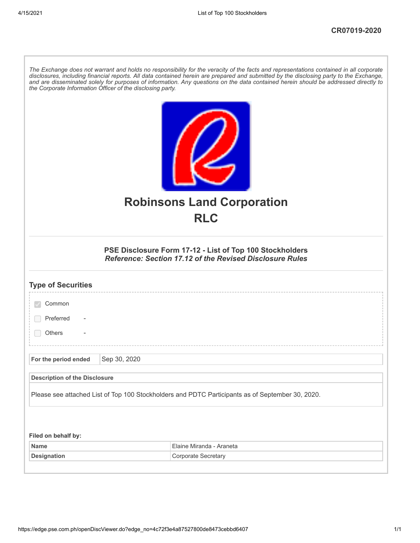| The Exchange does not warrant and holds no responsibility for the veracity of the facts and representations contained in all corporate<br>disclosures, including financial reports. All data contained herein are prepared and submitted by the disclosing party to the Exchange,<br>and are disseminated solely for purposes of information. Any questions on the data contained herein should be addressed directly to<br>the Corporate Information Officer of the disclosing party. |              |                                                                                                                             |
|----------------------------------------------------------------------------------------------------------------------------------------------------------------------------------------------------------------------------------------------------------------------------------------------------------------------------------------------------------------------------------------------------------------------------------------------------------------------------------------|--------------|-----------------------------------------------------------------------------------------------------------------------------|
|                                                                                                                                                                                                                                                                                                                                                                                                                                                                                        |              | <b>Robinsons Land Corporation</b><br><b>RLC</b>                                                                             |
|                                                                                                                                                                                                                                                                                                                                                                                                                                                                                        |              | PSE Disclosure Form 17-12 - List of Top 100 Stockholders<br><b>Reference: Section 17.12 of the Revised Disclosure Rules</b> |
| <b>Type of Securities</b>                                                                                                                                                                                                                                                                                                                                                                                                                                                              |              |                                                                                                                             |
| Common                                                                                                                                                                                                                                                                                                                                                                                                                                                                                 |              |                                                                                                                             |
| Preferred                                                                                                                                                                                                                                                                                                                                                                                                                                                                              |              |                                                                                                                             |
| <b>Others</b>                                                                                                                                                                                                                                                                                                                                                                                                                                                                          |              |                                                                                                                             |
| For the period ended                                                                                                                                                                                                                                                                                                                                                                                                                                                                   | Sep 30, 2020 |                                                                                                                             |
| <b>Description of the Disclosure</b>                                                                                                                                                                                                                                                                                                                                                                                                                                                   |              |                                                                                                                             |
| Please see attached List of Top 100 Stockholders and PDTC Participants as of September 30, 2020.                                                                                                                                                                                                                                                                                                                                                                                       |              |                                                                                                                             |
|                                                                                                                                                                                                                                                                                                                                                                                                                                                                                        |              |                                                                                                                             |
| Filed on behalf by:<br><b>Name</b>                                                                                                                                                                                                                                                                                                                                                                                                                                                     |              | Elaine Miranda - Araneta                                                                                                    |
| <b>Designation</b>                                                                                                                                                                                                                                                                                                                                                                                                                                                                     |              | Corporate Secretary                                                                                                         |
|                                                                                                                                                                                                                                                                                                                                                                                                                                                                                        |              |                                                                                                                             |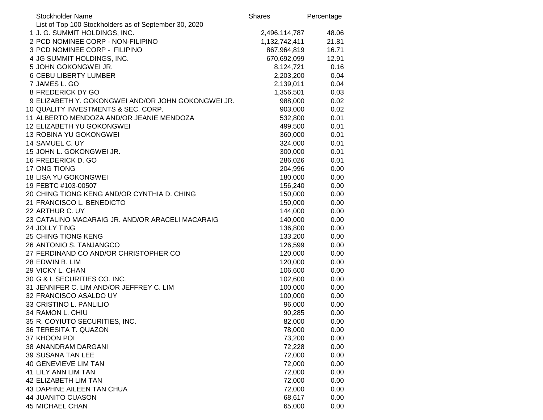| List of Top 100 Stockholders as of September 30, 2020<br>1 J. G. SUMMIT HOLDINGS, INC.<br>2,496,114,787<br>48.06<br>2 PCD NOMINEE CORP - NON-FILIPINO<br>1,132,742,411<br>21.81<br>3 PCD NOMINEE CORP - FILIPINO<br>867,964,819<br>16.71<br>4 JG SUMMIT HOLDINGS, INC.<br>670,692,099<br>12.91<br>5 JOHN GOKONGWEI JR.<br>8,124,721<br>0.16<br>0.04<br><b>6 CEBU LIBERTY LUMBER</b><br>2,203,200<br>7 JAMES L. GO<br>2,139,011<br>0.04<br>8 FREDERICK DY GO<br>1,356,501<br>0.03<br>9 ELIZABETH Y. GOKONGWEI AND/OR JOHN GOKONGWEI JR.<br>0.02<br>988,000<br>10 QUALITY INVESTMENTS & SEC. CORP.<br>903,000<br>0.02<br>11 ALBERTO MENDOZA AND/OR JEANIE MENDOZA<br>532,800<br>0.01<br>12 ELIZABETH YU GOKONGWEI<br>499,500<br>0.01<br><b>13 ROBINA YU GOKONGWEI</b><br>360,000<br>0.01<br>14 SAMUEL C. UY<br>324,000<br>0.01<br>15 JOHN L. GOKONGWEI JR.<br>300,000<br>0.01<br>16 FREDERICK D. GO<br>0.01<br>286,026<br>17 ONG TIONG<br>204,996<br>0.00<br><b>18 LISA YU GOKONGWEI</b><br>180,000<br>0.00<br>19 FEBTC #103-00507<br>156,240<br>0.00<br>20 CHING TIONG KENG AND/OR CYNTHIA D. CHING<br>0.00<br>150,000<br>21 FRANCISCO L. BENEDICTO<br>0.00<br>150,000<br>22 ARTHUR C. UY<br>144,000<br>0.00<br>23 CATALINO MACARAIG JR. AND/OR ARACELI MACARAIG<br>140,000<br>0.00<br>24 JOLLY TING<br>0.00<br>136,800<br>25 CHING TIONG KENG<br>133,200<br>0.00<br>26 ANTONIO S. TANJANGCO<br>126,599<br>0.00<br>27 FERDINAND CO AND/OR CHRISTOPHER CO<br>120,000<br>0.00<br>28 EDWIN B. LIM<br>120,000<br>0.00<br>29 VICKY L. CHAN<br>106,600<br>0.00<br>30 G & L SECURITIES CO. INC.<br>102,600<br>0.00<br>31 JENNIFER C. LIM AND/OR JEFFREY C. LIM<br>100,000<br>0.00<br>32 FRANCISCO ASALDO UY<br>100,000<br>0.00<br>33 CRISTINO L. PANLILIO<br>96,000<br>0.00<br>34 RAMON L. CHIU<br>0.00<br>90,285<br>35 R. COYIUTO SECURITIES, INC.<br>82,000<br>0.00<br>36 TERESITA T. QUAZON<br>78,000<br>0.00<br>37 KHOON POI<br>73,200<br>0.00<br>38 ANANDRAM DARGANI<br>72,228<br>0.00<br>72,000<br>39 SUSANA TAN LEE<br>0.00<br>72,000<br><b>40 GENEVIEVE LIM TAN</b><br>0.00<br>72,000<br>41 LILY ANN LIM TAN<br>0.00<br>42 ELIZABETH LIM TAN<br>72,000<br>0.00<br>43 DAPHNE AILEEN TAN CHUA<br>72,000<br>0.00<br><b>44 JUANITO CUASON</b><br>68,617<br>0.00<br>45 MICHAEL CHAN<br>65,000<br>0.00 | <b>Stockholder Name</b> | <b>Shares</b> | Percentage |
|--------------------------------------------------------------------------------------------------------------------------------------------------------------------------------------------------------------------------------------------------------------------------------------------------------------------------------------------------------------------------------------------------------------------------------------------------------------------------------------------------------------------------------------------------------------------------------------------------------------------------------------------------------------------------------------------------------------------------------------------------------------------------------------------------------------------------------------------------------------------------------------------------------------------------------------------------------------------------------------------------------------------------------------------------------------------------------------------------------------------------------------------------------------------------------------------------------------------------------------------------------------------------------------------------------------------------------------------------------------------------------------------------------------------------------------------------------------------------------------------------------------------------------------------------------------------------------------------------------------------------------------------------------------------------------------------------------------------------------------------------------------------------------------------------------------------------------------------------------------------------------------------------------------------------------------------------------------------------------------------------------------------------------------------------------------------------------------------------------------------------------------------------------------------------------------------------------------------------------------------------------------------------------------------------|-------------------------|---------------|------------|
|                                                                                                                                                                                                                                                                                                                                                                                                                                                                                                                                                                                                                                                                                                                                                                                                                                                                                                                                                                                                                                                                                                                                                                                                                                                                                                                                                                                                                                                                                                                                                                                                                                                                                                                                                                                                                                                                                                                                                                                                                                                                                                                                                                                                                                                                                                  |                         |               |            |
|                                                                                                                                                                                                                                                                                                                                                                                                                                                                                                                                                                                                                                                                                                                                                                                                                                                                                                                                                                                                                                                                                                                                                                                                                                                                                                                                                                                                                                                                                                                                                                                                                                                                                                                                                                                                                                                                                                                                                                                                                                                                                                                                                                                                                                                                                                  |                         |               |            |
|                                                                                                                                                                                                                                                                                                                                                                                                                                                                                                                                                                                                                                                                                                                                                                                                                                                                                                                                                                                                                                                                                                                                                                                                                                                                                                                                                                                                                                                                                                                                                                                                                                                                                                                                                                                                                                                                                                                                                                                                                                                                                                                                                                                                                                                                                                  |                         |               |            |
|                                                                                                                                                                                                                                                                                                                                                                                                                                                                                                                                                                                                                                                                                                                                                                                                                                                                                                                                                                                                                                                                                                                                                                                                                                                                                                                                                                                                                                                                                                                                                                                                                                                                                                                                                                                                                                                                                                                                                                                                                                                                                                                                                                                                                                                                                                  |                         |               |            |
|                                                                                                                                                                                                                                                                                                                                                                                                                                                                                                                                                                                                                                                                                                                                                                                                                                                                                                                                                                                                                                                                                                                                                                                                                                                                                                                                                                                                                                                                                                                                                                                                                                                                                                                                                                                                                                                                                                                                                                                                                                                                                                                                                                                                                                                                                                  |                         |               |            |
|                                                                                                                                                                                                                                                                                                                                                                                                                                                                                                                                                                                                                                                                                                                                                                                                                                                                                                                                                                                                                                                                                                                                                                                                                                                                                                                                                                                                                                                                                                                                                                                                                                                                                                                                                                                                                                                                                                                                                                                                                                                                                                                                                                                                                                                                                                  |                         |               |            |
|                                                                                                                                                                                                                                                                                                                                                                                                                                                                                                                                                                                                                                                                                                                                                                                                                                                                                                                                                                                                                                                                                                                                                                                                                                                                                                                                                                                                                                                                                                                                                                                                                                                                                                                                                                                                                                                                                                                                                                                                                                                                                                                                                                                                                                                                                                  |                         |               |            |
|                                                                                                                                                                                                                                                                                                                                                                                                                                                                                                                                                                                                                                                                                                                                                                                                                                                                                                                                                                                                                                                                                                                                                                                                                                                                                                                                                                                                                                                                                                                                                                                                                                                                                                                                                                                                                                                                                                                                                                                                                                                                                                                                                                                                                                                                                                  |                         |               |            |
|                                                                                                                                                                                                                                                                                                                                                                                                                                                                                                                                                                                                                                                                                                                                                                                                                                                                                                                                                                                                                                                                                                                                                                                                                                                                                                                                                                                                                                                                                                                                                                                                                                                                                                                                                                                                                                                                                                                                                                                                                                                                                                                                                                                                                                                                                                  |                         |               |            |
|                                                                                                                                                                                                                                                                                                                                                                                                                                                                                                                                                                                                                                                                                                                                                                                                                                                                                                                                                                                                                                                                                                                                                                                                                                                                                                                                                                                                                                                                                                                                                                                                                                                                                                                                                                                                                                                                                                                                                                                                                                                                                                                                                                                                                                                                                                  |                         |               |            |
|                                                                                                                                                                                                                                                                                                                                                                                                                                                                                                                                                                                                                                                                                                                                                                                                                                                                                                                                                                                                                                                                                                                                                                                                                                                                                                                                                                                                                                                                                                                                                                                                                                                                                                                                                                                                                                                                                                                                                                                                                                                                                                                                                                                                                                                                                                  |                         |               |            |
|                                                                                                                                                                                                                                                                                                                                                                                                                                                                                                                                                                                                                                                                                                                                                                                                                                                                                                                                                                                                                                                                                                                                                                                                                                                                                                                                                                                                                                                                                                                                                                                                                                                                                                                                                                                                                                                                                                                                                                                                                                                                                                                                                                                                                                                                                                  |                         |               |            |
|                                                                                                                                                                                                                                                                                                                                                                                                                                                                                                                                                                                                                                                                                                                                                                                                                                                                                                                                                                                                                                                                                                                                                                                                                                                                                                                                                                                                                                                                                                                                                                                                                                                                                                                                                                                                                                                                                                                                                                                                                                                                                                                                                                                                                                                                                                  |                         |               |            |
|                                                                                                                                                                                                                                                                                                                                                                                                                                                                                                                                                                                                                                                                                                                                                                                                                                                                                                                                                                                                                                                                                                                                                                                                                                                                                                                                                                                                                                                                                                                                                                                                                                                                                                                                                                                                                                                                                                                                                                                                                                                                                                                                                                                                                                                                                                  |                         |               |            |
|                                                                                                                                                                                                                                                                                                                                                                                                                                                                                                                                                                                                                                                                                                                                                                                                                                                                                                                                                                                                                                                                                                                                                                                                                                                                                                                                                                                                                                                                                                                                                                                                                                                                                                                                                                                                                                                                                                                                                                                                                                                                                                                                                                                                                                                                                                  |                         |               |            |
|                                                                                                                                                                                                                                                                                                                                                                                                                                                                                                                                                                                                                                                                                                                                                                                                                                                                                                                                                                                                                                                                                                                                                                                                                                                                                                                                                                                                                                                                                                                                                                                                                                                                                                                                                                                                                                                                                                                                                                                                                                                                                                                                                                                                                                                                                                  |                         |               |            |
|                                                                                                                                                                                                                                                                                                                                                                                                                                                                                                                                                                                                                                                                                                                                                                                                                                                                                                                                                                                                                                                                                                                                                                                                                                                                                                                                                                                                                                                                                                                                                                                                                                                                                                                                                                                                                                                                                                                                                                                                                                                                                                                                                                                                                                                                                                  |                         |               |            |
|                                                                                                                                                                                                                                                                                                                                                                                                                                                                                                                                                                                                                                                                                                                                                                                                                                                                                                                                                                                                                                                                                                                                                                                                                                                                                                                                                                                                                                                                                                                                                                                                                                                                                                                                                                                                                                                                                                                                                                                                                                                                                                                                                                                                                                                                                                  |                         |               |            |
|                                                                                                                                                                                                                                                                                                                                                                                                                                                                                                                                                                                                                                                                                                                                                                                                                                                                                                                                                                                                                                                                                                                                                                                                                                                                                                                                                                                                                                                                                                                                                                                                                                                                                                                                                                                                                                                                                                                                                                                                                                                                                                                                                                                                                                                                                                  |                         |               |            |
|                                                                                                                                                                                                                                                                                                                                                                                                                                                                                                                                                                                                                                                                                                                                                                                                                                                                                                                                                                                                                                                                                                                                                                                                                                                                                                                                                                                                                                                                                                                                                                                                                                                                                                                                                                                                                                                                                                                                                                                                                                                                                                                                                                                                                                                                                                  |                         |               |            |
|                                                                                                                                                                                                                                                                                                                                                                                                                                                                                                                                                                                                                                                                                                                                                                                                                                                                                                                                                                                                                                                                                                                                                                                                                                                                                                                                                                                                                                                                                                                                                                                                                                                                                                                                                                                                                                                                                                                                                                                                                                                                                                                                                                                                                                                                                                  |                         |               |            |
|                                                                                                                                                                                                                                                                                                                                                                                                                                                                                                                                                                                                                                                                                                                                                                                                                                                                                                                                                                                                                                                                                                                                                                                                                                                                                                                                                                                                                                                                                                                                                                                                                                                                                                                                                                                                                                                                                                                                                                                                                                                                                                                                                                                                                                                                                                  |                         |               |            |
|                                                                                                                                                                                                                                                                                                                                                                                                                                                                                                                                                                                                                                                                                                                                                                                                                                                                                                                                                                                                                                                                                                                                                                                                                                                                                                                                                                                                                                                                                                                                                                                                                                                                                                                                                                                                                                                                                                                                                                                                                                                                                                                                                                                                                                                                                                  |                         |               |            |
|                                                                                                                                                                                                                                                                                                                                                                                                                                                                                                                                                                                                                                                                                                                                                                                                                                                                                                                                                                                                                                                                                                                                                                                                                                                                                                                                                                                                                                                                                                                                                                                                                                                                                                                                                                                                                                                                                                                                                                                                                                                                                                                                                                                                                                                                                                  |                         |               |            |
|                                                                                                                                                                                                                                                                                                                                                                                                                                                                                                                                                                                                                                                                                                                                                                                                                                                                                                                                                                                                                                                                                                                                                                                                                                                                                                                                                                                                                                                                                                                                                                                                                                                                                                                                                                                                                                                                                                                                                                                                                                                                                                                                                                                                                                                                                                  |                         |               |            |
|                                                                                                                                                                                                                                                                                                                                                                                                                                                                                                                                                                                                                                                                                                                                                                                                                                                                                                                                                                                                                                                                                                                                                                                                                                                                                                                                                                                                                                                                                                                                                                                                                                                                                                                                                                                                                                                                                                                                                                                                                                                                                                                                                                                                                                                                                                  |                         |               |            |
|                                                                                                                                                                                                                                                                                                                                                                                                                                                                                                                                                                                                                                                                                                                                                                                                                                                                                                                                                                                                                                                                                                                                                                                                                                                                                                                                                                                                                                                                                                                                                                                                                                                                                                                                                                                                                                                                                                                                                                                                                                                                                                                                                                                                                                                                                                  |                         |               |            |
|                                                                                                                                                                                                                                                                                                                                                                                                                                                                                                                                                                                                                                                                                                                                                                                                                                                                                                                                                                                                                                                                                                                                                                                                                                                                                                                                                                                                                                                                                                                                                                                                                                                                                                                                                                                                                                                                                                                                                                                                                                                                                                                                                                                                                                                                                                  |                         |               |            |
|                                                                                                                                                                                                                                                                                                                                                                                                                                                                                                                                                                                                                                                                                                                                                                                                                                                                                                                                                                                                                                                                                                                                                                                                                                                                                                                                                                                                                                                                                                                                                                                                                                                                                                                                                                                                                                                                                                                                                                                                                                                                                                                                                                                                                                                                                                  |                         |               |            |
|                                                                                                                                                                                                                                                                                                                                                                                                                                                                                                                                                                                                                                                                                                                                                                                                                                                                                                                                                                                                                                                                                                                                                                                                                                                                                                                                                                                                                                                                                                                                                                                                                                                                                                                                                                                                                                                                                                                                                                                                                                                                                                                                                                                                                                                                                                  |                         |               |            |
|                                                                                                                                                                                                                                                                                                                                                                                                                                                                                                                                                                                                                                                                                                                                                                                                                                                                                                                                                                                                                                                                                                                                                                                                                                                                                                                                                                                                                                                                                                                                                                                                                                                                                                                                                                                                                                                                                                                                                                                                                                                                                                                                                                                                                                                                                                  |                         |               |            |
|                                                                                                                                                                                                                                                                                                                                                                                                                                                                                                                                                                                                                                                                                                                                                                                                                                                                                                                                                                                                                                                                                                                                                                                                                                                                                                                                                                                                                                                                                                                                                                                                                                                                                                                                                                                                                                                                                                                                                                                                                                                                                                                                                                                                                                                                                                  |                         |               |            |
|                                                                                                                                                                                                                                                                                                                                                                                                                                                                                                                                                                                                                                                                                                                                                                                                                                                                                                                                                                                                                                                                                                                                                                                                                                                                                                                                                                                                                                                                                                                                                                                                                                                                                                                                                                                                                                                                                                                                                                                                                                                                                                                                                                                                                                                                                                  |                         |               |            |
|                                                                                                                                                                                                                                                                                                                                                                                                                                                                                                                                                                                                                                                                                                                                                                                                                                                                                                                                                                                                                                                                                                                                                                                                                                                                                                                                                                                                                                                                                                                                                                                                                                                                                                                                                                                                                                                                                                                                                                                                                                                                                                                                                                                                                                                                                                  |                         |               |            |
|                                                                                                                                                                                                                                                                                                                                                                                                                                                                                                                                                                                                                                                                                                                                                                                                                                                                                                                                                                                                                                                                                                                                                                                                                                                                                                                                                                                                                                                                                                                                                                                                                                                                                                                                                                                                                                                                                                                                                                                                                                                                                                                                                                                                                                                                                                  |                         |               |            |
|                                                                                                                                                                                                                                                                                                                                                                                                                                                                                                                                                                                                                                                                                                                                                                                                                                                                                                                                                                                                                                                                                                                                                                                                                                                                                                                                                                                                                                                                                                                                                                                                                                                                                                                                                                                                                                                                                                                                                                                                                                                                                                                                                                                                                                                                                                  |                         |               |            |
|                                                                                                                                                                                                                                                                                                                                                                                                                                                                                                                                                                                                                                                                                                                                                                                                                                                                                                                                                                                                                                                                                                                                                                                                                                                                                                                                                                                                                                                                                                                                                                                                                                                                                                                                                                                                                                                                                                                                                                                                                                                                                                                                                                                                                                                                                                  |                         |               |            |
|                                                                                                                                                                                                                                                                                                                                                                                                                                                                                                                                                                                                                                                                                                                                                                                                                                                                                                                                                                                                                                                                                                                                                                                                                                                                                                                                                                                                                                                                                                                                                                                                                                                                                                                                                                                                                                                                                                                                                                                                                                                                                                                                                                                                                                                                                                  |                         |               |            |
|                                                                                                                                                                                                                                                                                                                                                                                                                                                                                                                                                                                                                                                                                                                                                                                                                                                                                                                                                                                                                                                                                                                                                                                                                                                                                                                                                                                                                                                                                                                                                                                                                                                                                                                                                                                                                                                                                                                                                                                                                                                                                                                                                                                                                                                                                                  |                         |               |            |
|                                                                                                                                                                                                                                                                                                                                                                                                                                                                                                                                                                                                                                                                                                                                                                                                                                                                                                                                                                                                                                                                                                                                                                                                                                                                                                                                                                                                                                                                                                                                                                                                                                                                                                                                                                                                                                                                                                                                                                                                                                                                                                                                                                                                                                                                                                  |                         |               |            |
|                                                                                                                                                                                                                                                                                                                                                                                                                                                                                                                                                                                                                                                                                                                                                                                                                                                                                                                                                                                                                                                                                                                                                                                                                                                                                                                                                                                                                                                                                                                                                                                                                                                                                                                                                                                                                                                                                                                                                                                                                                                                                                                                                                                                                                                                                                  |                         |               |            |
|                                                                                                                                                                                                                                                                                                                                                                                                                                                                                                                                                                                                                                                                                                                                                                                                                                                                                                                                                                                                                                                                                                                                                                                                                                                                                                                                                                                                                                                                                                                                                                                                                                                                                                                                                                                                                                                                                                                                                                                                                                                                                                                                                                                                                                                                                                  |                         |               |            |
|                                                                                                                                                                                                                                                                                                                                                                                                                                                                                                                                                                                                                                                                                                                                                                                                                                                                                                                                                                                                                                                                                                                                                                                                                                                                                                                                                                                                                                                                                                                                                                                                                                                                                                                                                                                                                                                                                                                                                                                                                                                                                                                                                                                                                                                                                                  |                         |               |            |
|                                                                                                                                                                                                                                                                                                                                                                                                                                                                                                                                                                                                                                                                                                                                                                                                                                                                                                                                                                                                                                                                                                                                                                                                                                                                                                                                                                                                                                                                                                                                                                                                                                                                                                                                                                                                                                                                                                                                                                                                                                                                                                                                                                                                                                                                                                  |                         |               |            |
|                                                                                                                                                                                                                                                                                                                                                                                                                                                                                                                                                                                                                                                                                                                                                                                                                                                                                                                                                                                                                                                                                                                                                                                                                                                                                                                                                                                                                                                                                                                                                                                                                                                                                                                                                                                                                                                                                                                                                                                                                                                                                                                                                                                                                                                                                                  |                         |               |            |
|                                                                                                                                                                                                                                                                                                                                                                                                                                                                                                                                                                                                                                                                                                                                                                                                                                                                                                                                                                                                                                                                                                                                                                                                                                                                                                                                                                                                                                                                                                                                                                                                                                                                                                                                                                                                                                                                                                                                                                                                                                                                                                                                                                                                                                                                                                  |                         |               |            |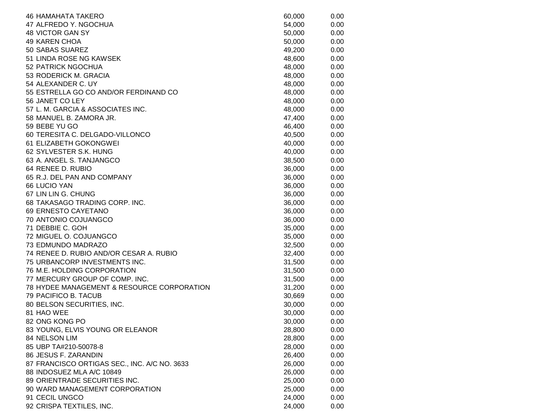| <b>46 HAMAHATA TAKERO</b>                    | 60,000 | 0.00 |
|----------------------------------------------|--------|------|
| 47 ALFREDO Y. NGOCHUA                        | 54,000 | 0.00 |
| 48 VICTOR GAN SY                             | 50,000 | 0.00 |
| <b>49 KAREN CHOA</b>                         | 50,000 | 0.00 |
| 50 SABAS SUAREZ                              | 49,200 | 0.00 |
| 51 LINDA ROSE NG KAWSEK                      | 48,600 | 0.00 |
| 52 PATRICK NGOCHUA                           | 48,000 | 0.00 |
| 53 RODERICK M. GRACIA                        | 48,000 | 0.00 |
| 54 ALEXANDER C. UY                           | 48,000 | 0.00 |
| 55 ESTRELLA GO CO AND/OR FERDINAND CO        | 48,000 | 0.00 |
| 56 JANET CO LEY                              | 48,000 | 0.00 |
| 57 L. M. GARCIA & ASSOCIATES INC.            | 48,000 | 0.00 |
| 58 MANUEL B. ZAMORA JR.                      | 47,400 | 0.00 |
| 59 BEBE YU GO                                | 46,400 | 0.00 |
| 60 TERESITA C. DELGADO-VILLONCO              | 40,500 | 0.00 |
| 61 ELIZABETH GOKONGWEI                       | 40,000 | 0.00 |
| 62 SYLVESTER S.K. HUNG                       | 40,000 | 0.00 |
| 63 A. ANGEL S. TANJANGCO                     | 38,500 | 0.00 |
| 64 RENEE D. RUBIO                            | 36,000 | 0.00 |
| 65 R.J. DEL PAN AND COMPANY                  | 36,000 | 0.00 |
| 66 LUCIO YAN                                 | 36,000 | 0.00 |
| 67 LIN LIN G. CHUNG                          | 36,000 | 0.00 |
| 68 TAKASAGO TRADING CORP. INC.               | 36,000 | 0.00 |
| 69 ERNESTO CAYETANO                          | 36,000 | 0.00 |
| 70 ANTONIO COJUANGCO                         | 36,000 | 0.00 |
| 71 DEBBIE C. GOH                             | 35,000 | 0.00 |
| 72 MIGUEL O. COJUANGCO                       | 35,000 | 0.00 |
| 73 EDMUNDO MADRAZO                           | 32,500 | 0.00 |
| 74 RENEE D. RUBIO AND/OR CESAR A. RUBIO      | 32,400 | 0.00 |
| 75 URBANCORP INVESTMENTS INC.                | 31,500 | 0.00 |
| 76 M.E. HOLDING CORPORATION                  | 31,500 | 0.00 |
| 77 MERCURY GROUP OF COMP. INC.               | 31,500 | 0.00 |
| 78 HYDEE MANAGEMENT & RESOURCE CORPORATION   | 31,200 | 0.00 |
| 79 PACIFICO B. TACUB                         | 30,669 | 0.00 |
| 80 BELSON SECURITIES, INC.                   | 30,000 | 0.00 |
| 81 HAO WEE                                   | 30,000 | 0.00 |
| 82 ONG KONG PO                               | 30,000 | 0.00 |
| 83 YOUNG, ELVIS YOUNG OR ELEANOR             | 28,800 | 0.00 |
| 84 NELSON LIM                                | 28,800 | 0.00 |
| 85 UBP TA#210-50078-8                        | 28,000 | 0.00 |
| 86 JESUS F. ZARANDIN                         | 26,400 | 0.00 |
| 87 FRANCISCO ORTIGAS SEC., INC. A/C NO. 3633 | 26,000 | 0.00 |
| 88 INDOSUEZ MLA A/C 10849                    | 26,000 | 0.00 |
| 89 ORIENTRADE SECURITIES INC.                | 25,000 | 0.00 |
| 90 WARD MANAGEMENT CORPORATION               | 25,000 | 0.00 |
| 91 CECIL UNGCO                               | 24,000 | 0.00 |
| 92 CRISPA TEXTILES, INC.                     | 24,000 | 0.00 |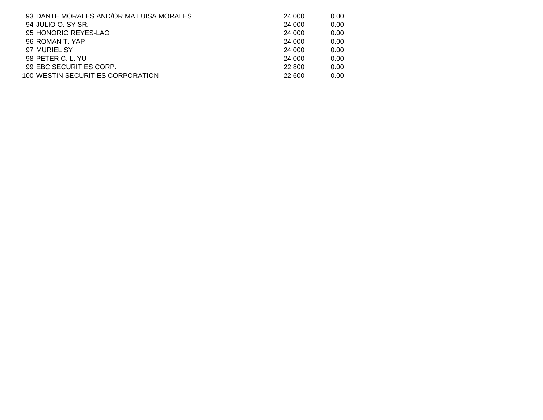| 93 DANTE MORALES AND/OR MA LUISA MORALES | 24,000 | 0.00 |
|------------------------------------------|--------|------|
| 94 JULIO O. SY SR.                       | 24,000 | 0.00 |
| 95 HONORIO REYES-LAO                     | 24.000 | 0.00 |
| 96 ROMAN T. YAP                          | 24.000 | 0.00 |
| 97 MURIEL SY                             | 24,000 | 0.00 |
| 98 PETER C. L. YU                        | 24.000 | 0.00 |
| 99 EBC SECURITIES CORP.                  | 22,800 | 0.00 |
| 100 WESTIN SECURITIES CORPORATION        | 22,600 | 0.00 |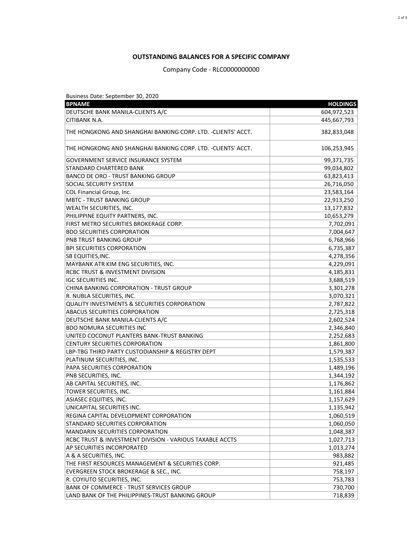Business Date: September 30, 2020

| <b>BPNAME</b>                                                 | <b>HOLDINGS</b> |
|---------------------------------------------------------------|-----------------|
| DEUTSCHE BANK MANILA-CLIENTS A/C                              | 604,972,523     |
| <b>CITIBANK N.A.</b>                                          | 445,667,793     |
| THE HONGKONG AND SHANGHAI BANKING CORP. LTD. - CLIENTS' ACCT. | 382,833,048     |
| THE HONGKONG AND SHANGHAI BANKING CORP. LTD. -CLIENTS' ACCT.  | 106,253,945     |
| <b>GOVERNMENT SERVICE INSURANCE SYSTEM</b>                    | 99,371,735      |
| <b>STANDARD CHARTERED BANK</b>                                | 99,034,802      |
| <b>BANCO DE ORO - TRUST BANKING GROUP</b>                     | 63,823,413      |
| <b>SOCIAL SECURITY SYSTEM</b>                                 | 26,716,050      |
| <b>COL Financial Group, Inc.</b>                              | 23,583,164      |
| <b>MBTC - TRUST BANKING GROUP</b>                             | 22,913,250      |
| <b>WEALTH SECURITIES, INC.</b>                                | 13,177,832      |
| PHILIPPINE EQUITY PARTNERS, INC.                              | 10,653,279      |
| FIRST METRO SECURITIES BROKERAGE CORP.                        | 7,702,091       |
| <b>BDO SECURITIES CORPORATION</b>                             | 7,004,647       |
| PNB TRUST BANKING GROUP                                       | 6,768,966       |
| <b>BPI SECURITIES CORPORATION</b>                             | 6,735,387       |
| SB EQUITIES, INC.                                             | 4,278,356       |
| MAYBANK ATR KIM ENG SECURITIES, INC.                          | 4,229,091       |
| <b>RCBC TRUST &amp; INVESTMENT DIVISION</b>                   | 4,185,831       |
| <b>IGC SECURITIES INC.</b>                                    | 3,688,519       |
| <b>CHINA BANKING CORPORATION - TRUST GROUP</b>                | 3,301,278       |
| R. NUBLA SECURITIES, INC.                                     | 3,070,321       |
| <b>QUALITY INVESTMENTS &amp; SECURITIES CORPORATION</b>       | 2,787,822       |
| <b>ABACUS SECURITIES CORPORATION</b>                          | 2,725,318       |
| DEUTSCHE BANK MANILA-CLIENTS A/C                              | 2,602,524       |
| <b>BDO NOMURA SECURITIES INC</b>                              | 2,346,840       |
| UNITED COCONUT PLANTERS BANK-TRUST BANKING                    | 2,252,683       |
| <b>CENTURY SECURITIES CORPORATION</b>                         | 1,861,800       |
| LBP-TBG THIRD PARTY CUSTODIANSHIP & REGISTRY DEPT             | 1,579,387       |
| PLATINUM SECURITIES, INC.                                     | 1,535,533       |
| PAPA SECURITIES CORPORATION                                   | 1,489,196       |
| PNB SECURITIES, INC.                                          | 1,344,192       |
| AB CAPITAL SECURITIES, INC.                                   | 1,176,862       |
| TOWER SECURITIES, INC.                                        | 1,161,884       |
| <b>ASIASEC EQUITIES, INC.</b>                                 | 1,157,629       |
| UNICAPITAL SECURITIES INC.                                    | 1,135,942       |
| REGINA CAPITAL DEVELOPMENT CORPORATION                        | 1,060,519       |
| STANDARD SECURITIES CORPORATION                               | 1,060,050       |
| <b>MANDARIN SECURITIES CORPORATION</b>                        | 1,048,387       |
| RCBC TRUST & INVESTMENT DIVISION - VARIOUS TAXABLE ACCTS      | 1,027,713       |
| AP SECURITIES INCORPORATED                                    | 1,013,274       |
| A & A SECURITIES, INC.                                        | 983,882         |
| THE FIRST RESOURCES MANAGEMENT & SECURITIES CORP.             | 921,485         |
| EVERGREEN STOCK BROKERAGE & SEC., INC.                        | 758,197         |
| R. COYIUTO SECURITIES, INC.                                   | 753,783         |
| <b>BANK OF COMMERCE - TRUST SERVICES GROUP</b>                | 730,700         |
| LAND BANK OF THE PHILIPPINES-TRUST BANKING GROUP              | 718,839         |

## **OUTSTANDING BALANCES FOR A SPECIFIC COMPANY**

Company Code - RLC0000000000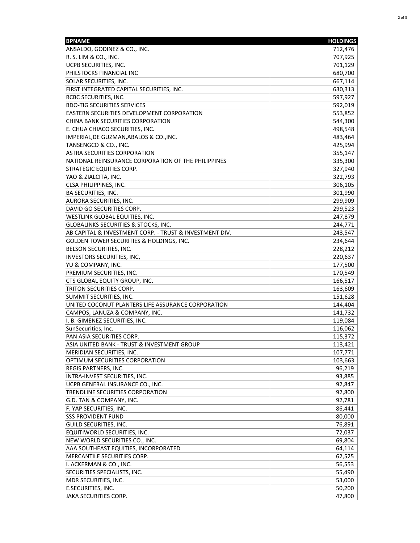| <b>BPNAME</b>                                           | <b>HOLDINGS</b> |
|---------------------------------------------------------|-----------------|
| ANSALDO, GODINEZ & CO., INC.                            | 712,476         |
| R. S. LIM & CO., INC.                                   | 707,925         |
| UCPB SECURITIES, INC.                                   | 701,129         |
| PHILSTOCKS FINANCIAL INC                                | 680,700         |
| SOLAR SECURITIES, INC.                                  | 667,114         |
| FIRST INTEGRATED CAPITAL SECURITIES, INC.               | 630,313         |
| RCBC SECURITIES, INC.                                   | 597,927         |
| <b>BDO-TIG SECURITIES SERVICES</b>                      | 592,019         |
| <b>EASTERN SECURITIES DEVELOPMENT CORPORATION</b>       | 553,852         |
| <b>CHINA BANK SECURITIES CORPORATION</b>                | 544,300         |
| E. CHUA CHIACO SECURITIES, INC.                         | 498,548         |
| IMPERIAL, DE GUZMAN, ABALOS & CO., INC.                 | 483,464         |
| TANSENGCO & CO., INC.                                   | 425,994         |
| <b>ASTRA SECURITIES CORPORATION</b>                     | 355,147         |
| NATIONAL REINSURANCE CORPORATION OF THE PHILIPPINES     | 335,300         |
| <b>STRATEGIC EQUITIES CORP.</b>                         | 327,940         |
| YAO & ZIALCITA, INC.                                    | 322,793         |
| <b>CLSA PHILIPPINES, INC.</b>                           | 306,105         |
| <b>BA SECURITIES, INC.</b>                              | 301,990         |
| AURORA SECURITIES, INC.                                 | 299,909         |
| DAVID GO SECURITIES CORP.                               | 299,523         |
| <b>WESTLINK GLOBAL EQUITIES, INC.</b>                   | 247,879         |
| <b>GLOBALINKS SECURITIES &amp; STOCKS, INC.</b>         | 244,771         |
| AB CAPITAL & INVESTMENT CORP. - TRUST & INVESTMENT DIV. | 243,547         |
| <b>GOLDEN TOWER SECURITIES &amp; HOLDINGS, INC.</b>     | 234,644         |
| <b>BELSON SECURITIES, INC.</b>                          | 228,212         |
| INVESTORS SECURITIES, INC,                              | 220,637         |
| YU & COMPANY, INC.                                      | 177,500         |
| PREMIUM SECURITIES, INC.                                | 170,549         |
| CTS GLOBAL EQUITY GROUP, INC.                           | 166,517         |
| TRITON SECURITIES CORP.                                 | 163,609         |
| SUMMIT SECURITIES, INC.                                 | 151,628         |
| UNITED COCONUT PLANTERS LIFE ASSURANCE CORPORATION      | 144,404         |
| CAMPOS, LANUZA & COMPANY, INC.                          | 141,732         |
| I. B. GIMENEZ SECURITIES, INC.                          | 119,084         |
| SunSecurities, Inc.                                     | 116,062         |
| PAN ASIA SECURITIES CORP.                               | 115,372         |
| ASIA UNITED BANK - TRUST & INVESTMENT GROUP             | 113,421         |
| <b>MERIDIAN SECURITIES, INC.</b>                        | 107,771         |
| <b>OPTIMUM SECURITIES CORPORATION</b>                   | 103,663         |
| REGIS PARTNERS, INC.                                    | 96,219          |
| INTRA-INVEST SECURITIES, INC.                           | 93,885          |
| UCPB GENERAL INSURANCE CO., INC.                        | 92,847          |
| TRENDLINE SECURITIES CORPORATION                        | 92,800          |
| G.D. TAN & COMPANY, INC.                                | 92,781          |
| F. YAP SECURITIES, INC.                                 | 86,441          |
| <b>SSS PROVIDENT FUND</b>                               | 80,000          |
| <b>GUILD SECURITIES, INC.</b>                           | 76,891          |
| EQUITIWORLD SECURITIES, INC.                            | 72,037          |
| NEW WORLD SECURITIES CO., INC.                          | 69,804          |
| AAA SOUTHEAST EQUITIES, INCORPORATED                    | 64,114          |
| MERCANTILE SECURITIES CORP.                             | 62,525          |
| I. ACKERMAN & CO., INC.                                 | 56,553          |
| SECURITIES SPECIALISTS, INC.                            | 55,490          |
| MDR SECURITIES, INC.                                    | 53,000          |
| <b>E.SECURITIES, INC.</b>                               | 50,200          |
| <b>JAKA SECURITIES CORP.</b>                            | 47,800          |